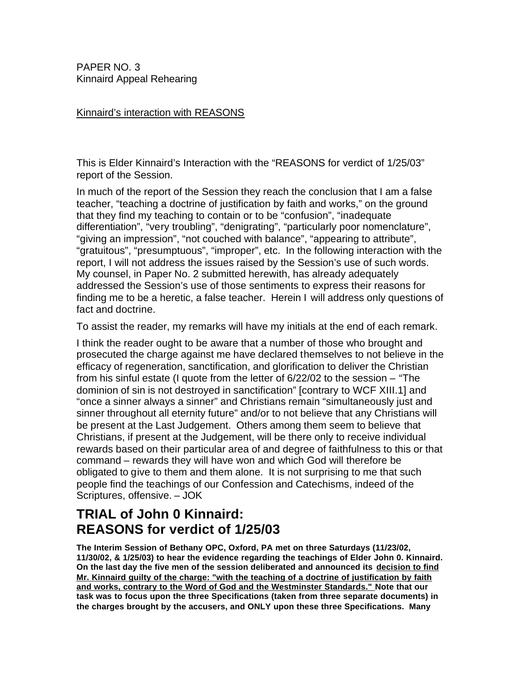PAPER NO. 3 Kinnaird Appeal Rehearing

## Kinnaird's interaction with REASONS

This is Elder Kinnaird's Interaction with the "REASONS for verdict of 1/25/03" report of the Session.

In much of the report of the Session they reach the conclusion that I am a false teacher, "teaching a doctrine of justification by faith and works," on the ground that they find my teaching to contain or to be "confusion", "inadequate differentiation", "very troubling", "denigrating", "particularly poor nomenclature", "giving an impression", "not couched with balance", "appearing to attribute", "gratuitous", "presumptuous", "improper", etc. In the following interaction with the report, I will not address the issues raised by the Session's use of such words. My counsel, in Paper No. 2 submitted herewith, has already adequately addressed the Session's use of those sentiments to express their reasons for finding me to be a heretic, a false teacher. Herein I will address only questions of fact and doctrine.

To assist the reader, my remarks will have my initials at the end of each remark.

I think the reader ought to be aware that a number of those who brought and prosecuted the charge against me have declared themselves to not believe in the efficacy of regeneration, sanctification, and glorification to deliver the Christian from his sinful estate (I quote from the letter of 6/22/02 to the session – "The dominion of sin is not destroyed in sanctification" [contrary to WCF XIII.1] and "once a sinner always a sinner" and Christians remain "simultaneously just and sinner throughout all eternity future" and/or to not believe that any Christians will be present at the Last Judgement. Others among them seem to believe that Christians, if present at the Judgement, will be there only to receive individual rewards based on their particular area of and degree of faithfulness to this or that command – rewards they will have won and which God will therefore be obligated to give to them and them alone. It is not surprising to me that such people find the teachings of our Confession and Catechisms, indeed of the Scriptures, offensive. – JOK

# **TRIAL of John 0 Kinnaird: REASONS for verdict of 1/25/03**

**The Interim Session of Bethany OPC, Oxford, PA met on three Saturdays (11/23/02, 11/30/02, & 1/25/03) to hear the evidence regarding the teachings of Elder John 0. Kinnaird. On the last day the five men of the session deliberated and announced its decision to find Mr. Kinnaird guilty of the charge: "with the teaching of a doctrine of justification by faith and works, contrary to the Word of God and the Westminster Standards." Note that our task was to focus upon the three Specifications (taken from three separate documents) in the charges brought by the accusers, and ONLY upon these three Specifications. Many**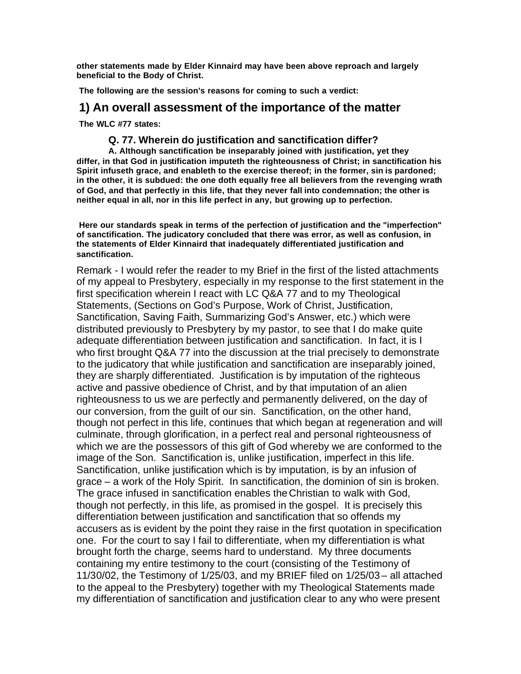**other statements made by Elder Kinnaird may have been above reproach and largely beneficial to the Body of Christ.**

**The following are the session's reasons for coming to such a verdict:**

## **1) An overall assessment of the importance of the matter**

**The WLC #77 states:**

## **Q. 77. Wherein do justification and sanctification differ?**

**A. Although sanctification be inseparably joined with justification, yet they differ, in that God in justification imputeth the righteousness of Christ; in sanctification his Spirit infuseth grace, and enableth to the exercise thereof; in the former, sin is pardoned; in the other, it is subdued: the one doth equally free all believers from the revenging wrath of God, and that perfectly in this life, that they never fall into condemnation; the other is neither equal in all, nor in this life perfect in any, but growing up to perfection.**

**Here our standards speak in terms of the perfection of justification and the "imperfection" of sanctification. The judicatory concluded that there was error, as well as confusion, in the statements of Elder Kinnaird that inadequately differentiated justification and sanctification.**

Remark - I would refer the reader to my Brief in the first of the listed attachments of my appeal to Presbytery, especially in my response to the first statement in the first specification wherein I react with LC Q&A 77 and to my Theological Statements, (Sections on God's Purpose, Work of Christ, Justification, Sanctification, Saving Faith, Summarizing God's Answer, etc.) which were distributed previously to Presbytery by my pastor, to see that I do make quite adequate differentiation between justification and sanctification. In fact, it is I who first brought Q&A 77 into the discussion at the trial precisely to demonstrate to the judicatory that while justification and sanctification are inseparably joined, they are sharply differentiated. Justification is by imputation of the righteous active and passive obedience of Christ, and by that imputation of an alien righteousness to us we are perfectly and permanently delivered, on the day of our conversion, from the guilt of our sin. Sanctification, on the other hand, though not perfect in this life, continues that which began at regeneration and will culminate, through glorification, in a perfect real and personal righteousness of which we are the possessors of this gift of God whereby we are conformed to the image of the Son. Sanctification is, unlike justification, imperfect in this life. Sanctification, unlike justification which is by imputation, is by an infusion of grace – a work of the Holy Spirit. In sanctification, the dominion of sin is broken. The grace infused in sanctification enables the Christian to walk with God, though not perfectly, in this life, as promised in the gospel. It is precisely this differentiation between justification and sanctification that so offends my accusers as is evident by the point they raise in the first quotation in specification one. For the court to say I fail to differentiate, when my differentiation is what brought forth the charge, seems hard to understand. My three documents containing my entire testimony to the court (consisting of the Testimony of 11/30/02, the Testimony of 1/25/03, and my BRIEF filed on 1/25/03 – all attached to the appeal to the Presbytery) together with my Theological Statements made my differentiation of sanctification and justification clear to any who were present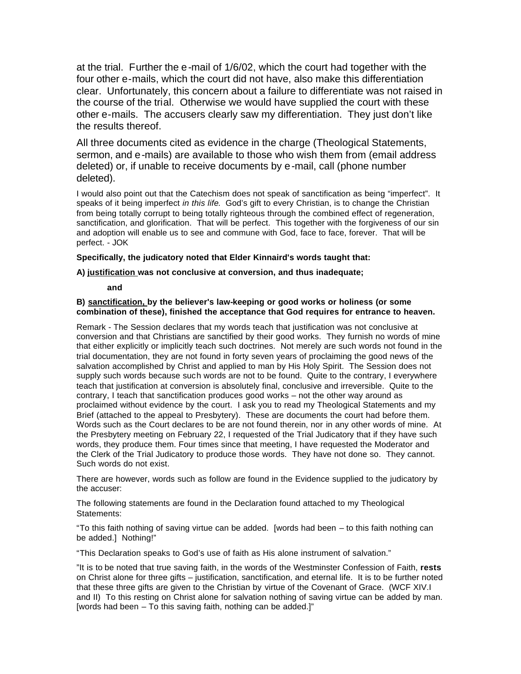at the trial. Further the e-mail of 1/6/02, which the court had together with the four other e-mails, which the court did not have, also make this differentiation clear. Unfortunately, this concern about a failure to differentiate was not raised in the course of the trial. Otherwise we would have supplied the court with these other e-mails. The accusers clearly saw my differentiation. They just don't like the results thereof.

All three documents cited as evidence in the charge (Theological Statements, sermon, and e-mails) are available to those who wish them from (email address deleted) or, if unable to receive documents by e-mail, call (phone number deleted).

I would also point out that the Catechism does not speak of sanctification as being "imperfect". It speaks of it being imperfect *in this life*. God's gift to every Christian, is to change the Christian from being totally corrupt to being totally righteous through the combined effect of regeneration, sanctification, and glorification. That will be perfect. This together with the forgiveness of our sin and adoption will enable us to see and commune with God, face to face, forever. That will be perfect. - JOK

### **Specifically, the judicatory noted that Elder Kinnaird's words taught that:**

#### **A) justification was not conclusive at conversion, and thus inadequate;**

**and** 

#### **B) sanctification, by the believer's law-keeping or good works or holiness (or some combination of these), finished the acceptance that God requires for entrance to heaven.**

Remark - The Session declares that my words teach that justification was not conclusive at conversion and that Christians are sanctified by their good works. They furnish no words of mine that either explicitly or implicitly teach such doctrines. Not merely are such words not found in the trial documentation, they are not found in forty seven years of proclaiming the good news of the salvation accomplished by Christ and applied to man by His Holy Spirit. The Session does not supply such words because such words are not to be found. Quite to the contrary, I everywhere teach that justification at conversion is absolutely final, conclusive and irreversible. Quite to the contrary, I teach that sanctification produces good works – not the other way around as proclaimed without evidence by the court. I ask you to read my Theological Statements and my Brief (attached to the appeal to Presbytery). These are documents the court had before them. Words such as the Court declares to be are not found therein, nor in any other words of mine. At the Presbytery meeting on February 22, I requested of the Trial Judicatory that if they have such words, they produce them. Four times since that meeting, I have requested the Moderator and the Clerk of the Trial Judicatory to produce those words. They have not done so. They cannot. Such words do not exist.

There are however, words such as follow are found in the Evidence supplied to the judicatory by the accuser:

The following statements are found in the Declaration found attached to my Theological Statements:

"To this faith nothing of saving virtue can be added. [words had been – to this faith nothing can be added.] Nothing!"

"This Declaration speaks to God's use of faith as His alone instrument of salvation."

"It is to be noted that true saving faith, in the words of the Westminster Confession of Faith, **rests** on Christ alone for three gifts – justification, sanctification, and eternal life. It is to be further noted that these three gifts are given to the Christian by virtue of the Covenant of Grace. (WCF XIV.I and II) To this resting on Christ alone for salvation nothing of saving virtue can be added by man. [words had been – To this saving faith, nothing can be added.]"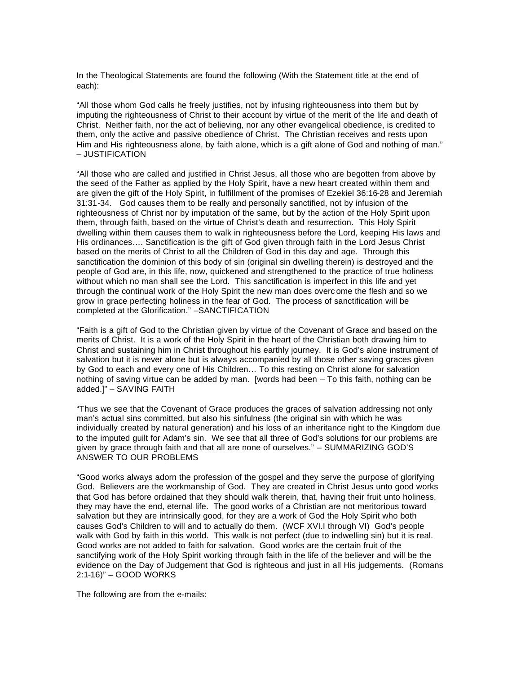In the Theological Statements are found the following (With the Statement title at the end of each):

"All those whom God calls he freely justifies, not by infusing righteousness into them but by imputing the righteousness of Christ to their account by virtue of the merit of the life and death of Christ. Neither faith, nor the act of believing, nor any other evangelical obedience, is credited to them, only the active and passive obedience of Christ. The Christian receives and rests upon Him and His righteousness alone, by faith alone, which is a gift alone of God and nothing of man." – JUSTIFICATION

"All those who are called and justified in Christ Jesus, all those who are begotten from above by the seed of the Father as applied by the Holy Spirit, have a new heart created within them and are given the gift of the Holy Spirit, in fulfillment of the promises of Ezekiel 36:16-28 and Jeremiah 31:31-34. God causes them to be really and personally sanctified, not by infusion of the righteousness of Christ nor by imputation of the same, but by the action of the Holy Spirit upon them, through faith, based on the virtue of Christ's death and resurrection. This Holy Spirit dwelling within them causes them to walk in righteousness before the Lord, keeping His laws and His ordinances…. Sanctification is the gift of God given through faith in the Lord Jesus Christ based on the merits of Christ to all the Children of God in this day and age. Through this sanctification the dominion of this body of sin (original sin dwelling therein) is destroyed and the people of God are, in this life, now, quickened and strengthened to the practice of true holiness without which no man shall see the Lord. This sanctification is imperfect in this life and yet through the continual work of the Holy Spirit the new man does overc ome the flesh and so we grow in grace perfecting holiness in the fear of God. The process of sanctification will be completed at the Glorification." –SANCTIFICATION

"Faith is a gift of God to the Christian given by virtue of the Covenant of Grace and based on the merits of Christ. It is a work of the Holy Spirit in the heart of the Christian both drawing him to Christ and sustaining him in Christ throughout his earthly journey. It is God's alone instrument of salvation but it is never alone but is always accompanied by all those other saving graces given by God to each and every one of His Children… To this resting on Christ alone for salvation nothing of saving virtue can be added by man. [words had been – To this faith, nothing can be added.]" – SAVING FAITH

"Thus we see that the Covenant of Grace produces the graces of salvation addressing not only man's actual sins committed, but also his sinfulness (the original sin with which he was individually created by natural generation) and his loss of an inheritance right to the Kingdom due to the imputed guilt for Adam's sin. We see that all three of God's solutions for our problems are given by grace through faith and that all are none of ourselves." – SUMMARIZING GOD'S ANSWER TO OUR PROBLEMS

"Good works always adorn the profession of the gospel and they serve the purpose of glorifying God. Believers are the workmanship of God. They are created in Christ Jesus unto good works that God has before ordained that they should walk therein, that, having their fruit unto holiness, they may have the end, eternal life. The good works of a Christian are not meritorious toward salvation but they are intrinsically good, for they are a work of God the Holy Spirit who both causes God's Children to will and to actually do them. (WCF XVI.I through VI) God's people walk with God by faith in this world. This walk is not perfect (due to indwelling sin) but it is real. Good works are not added to faith for salvation. Good works are the certain fruit of the sanctifying work of the Holy Spirit working through faith in the life of the believer and will be the evidence on the Day of Judgement that God is righteous and just in all His judgements. (Romans 2:1-16)" – GOOD WORKS

The following are from the e-mails: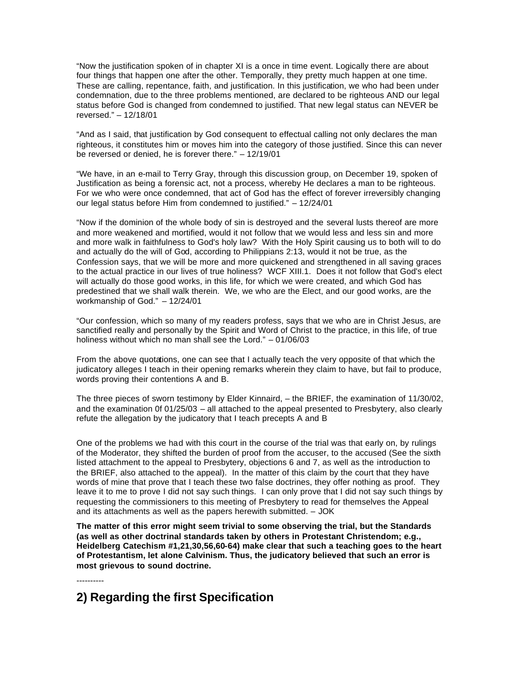"Now the justification spoken of in chapter XI is a once in time event. Logically there are about four things that happen one after the other. Temporally, they pretty much happen at one time. These are calling, repentance, faith, and justification. In this justification, we who had been under condemnation, due to the three problems mentioned, are declared to be righteous AND our legal status before God is changed from condemned to justified. That new legal status can NEVER be reversed." – 12/18/01

"And as I said, that justification by God consequent to effectual calling not only declares the man righteous, it constitutes him or moves him into the category of those justified. Since this can never be reversed or denied, he is forever there." – 12/19/01

"We have, in an e-mail to Terry Gray, through this discussion group, on December 19, spoken of Justification as being a forensic act, not a process, whereby He declares a man to be righteous. For we who were once condemned, that act of God has the effect of forever irreversibly changing our legal status before Him from condemned to justified." – 12/24/01

"Now if the dominion of the whole body of sin is destroyed and the several lusts thereof are more and more weakened and mortified, would it not follow that we would less and less sin and more and more walk in faithfulness to God's holy law? With the Holy Spirit causing us to both will to do and actually do the will of God, according to Philippians 2:13, would it not be true, as the Confession says, that we will be more and more quickened and strengthened in all saving graces to the actual practice in our lives of true holiness? WCF XIII.1. Does it not follow that God's elect will actually do those good works, in this life, for which we were created, and which God has predestined that we shall walk therein. We, we who are the Elect, and our good works, are the workmanship of God." – 12/24/01

"Our confession, which so many of my readers profess, says that we who are in Christ Jesus, are sanctified really and personally by the Spirit and Word of Christ to the practice, in this life, of true holiness without which no man shall see the Lord." – 01/06/03

From the above quotations, one can see that I actually teach the very opposite of that which the judicatory alleges I teach in their opening remarks wherein they claim to have, but fail to produce, words proving their contentions A and B.

The three pieces of sworn testimony by Elder Kinnaird, – the BRIEF, the examination of 11/30/02, and the examination 0f 01/25/03 – all attached to the appeal presented to Presbytery, also clearly refute the allegation by the judicatory that I teach precepts A and B

One of the problems we had with this court in the course of the trial was that early on, by rulings of the Moderator, they shifted the burden of proof from the accuser, to the accused (See the sixth listed attachment to the appeal to Presbytery, objections 6 and 7, as well as the introduction to the BRIEF, also attached to the appeal). In the matter of this claim by the court that they have words of mine that prove that I teach these two false doctrines, they offer nothing as proof. They leave it to me to prove I did not say such things. I can only prove that I did not say such things by requesting the commissioners to this meeting of Presbytery to read for themselves the Appeal and its attachments as well as the papers herewith submitted. – JOK

**The matter of this error might seem trivial to some observing the trial, but the Standards (as well as other doctrinal standards taken by others in Protestant Christendom; e.g., Heidelberg Catechism #1,21,30,56,60-64) make clear that such a teaching goes to the heart of Protestantism, let alone Calvinism. Thus, the judicatory believed that such an error is most grievous to sound doctrine.**

----------

## **2) Regarding the first Specification**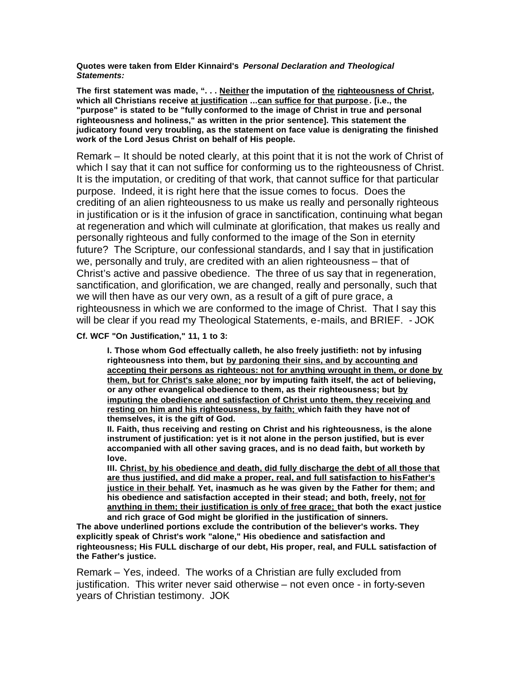**Quotes were taken from Elder Kinnaird's** *Personal Declaration and Theological Statements:*

**The first statement was made, ". . . Neither the imputation of the righteousness of Christ, which all Christians receive at justification ...can suffice for that purpose . [i.e., the "purpose" is stated to be "fully conformed to the image of Christ in true and personal righteousness and holiness," as written in the prior sentence]. This statement the judicatory found very troubling, as the statement on face value is denigrating the finished work of the Lord Jesus Christ on behalf of His people.**

Remark – It should be noted clearly, at this point that it is not the work of Christ of which I say that it can not suffice for conforming us to the righteousness of Christ. It is the imputation, or crediting of that work, that cannot suffice for that particular purpose. Indeed, it is right here that the issue comes to focus. Does the crediting of an alien righteousness to us make us really and personally righteous in justification or is it the infusion of grace in sanctification, continuing what began at regeneration and which will culminate at glorification, that makes us really and personally righteous and fully conformed to the image of the Son in eternity future? The Scripture, our confessional standards, and I say that in justification we, personally and truly, are credited with an alien righteousness – that of Christ's active and passive obedience. The three of us say that in regeneration, sanctification, and glorification, we are changed, really and personally, such that we will then have as our very own, as a result of a gift of pure grace, a righteousness in which we are conformed to the image of Christ. That I say this will be clear if you read my Theological Statements, e-mails, and BRIEF. - JOK

**Cf. WCF "On Justification," 11, 1 to 3:**

**I. Those whom God effectually calleth, he also freely justifieth: not by infusing righteousness into them, but by pardoning their sins, and by accounting and accepting their persons as righteous: not for anything wrought in them, or done by them, but for Christ's sake alone; nor by imputing faith itself, the act of believing, or any other evangelical obedience to them, as their righteousness; but by imputing the obedience and satisfaction of Christ unto them, they receiving and resting on him and his righteousness, by faith; which faith they have not of themselves, it is the gift of God.** 

**II. Faith, thus receiving and resting on Christ and his righteousness, is the alone instrument of justification: yet is it not alone in the person justified, but is ever accompanied with all other saving graces, and is no dead faith, but worketh by love.**

**III. Christ, by his obedience and death, did fully discharge the debt of all those that are thus justified, and did make a proper, real, and full satisfaction to hisFather's justice in their behalf. Yet, inasmuch as he was given by the Father for them; and his obedience and satisfaction accepted in their stead; and both, freely, not for anything in them; their justification is only of free grace; that both the exact justice and rich grace of God might be glorified in the justification of sinners.**

**The above underlined portions exclude the contribution of the believer's works. They explicitly speak of Christ's work "alone," His obedience and satisfaction and righteousness; His FULL discharge of our debt, His proper, real, and FULL satisfaction of the Father's justice.**

Remark – Yes, indeed. The works of a Christian are fully excluded from justification. This writer never said otherwise – not even once - in forty-seven years of Christian testimony. JOK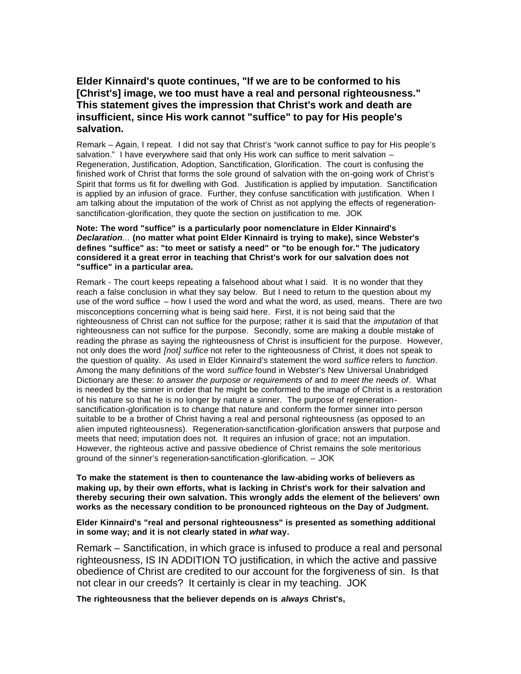## **Elder Kinnaird's quote continues, "If we are to be conformed to his [Christ's] image, we too must have a real and personal righteousness." This statement gives the impression that Christ's work and death are insufficient, since His work cannot "suffice" to pay for His people's salvation.**

Remark – Again, I repeat. I did not say that Christ's "work cannot suffice to pay for His people's salvation." I have everywhere said that only His work can suffice to merit salvation -Regeneration, Justification, Adoption, Sanctification, Glorification. The court is confusing the finished work of Christ that forms the sole ground of salvation with the on-going work of Christ's Spirit that forms us fit for dwelling with God. Justification is applied by imputation. Sanctification is applied by an infusion of grace. Further, they confuse sanctification with justification. When I am talking about the imputation of the work of Christ as not applying the effects of regenerationsanctification-glorification, they quote the section on justification to me. JOK

#### **Note: The word "suffice" is a particularly poor nomenclature in Elder Kinnaird's**  *Declaration...* **(no matter what point Elder Kinnaird is trying to make), since Webster's defines "suffice" as: "to meet or satisfy a need" or "to be enough for." The judicatory considered it a great error in teaching that Christ's work for our salvation does not "suffice" in a particular area.**

Remark - The court keeps repeating a falsehood about what I said. It is no wonder that they reach a false conclusion in what they say below. But I need to return to the question about my use of the word suffice – how I used the word and what the word, as used, means. There are two misconceptions concerning what is being said here. First, it is not being said that the righteousness of Christ can not suffice for the purpose; rather it is said that the *imputation* of that righteousness can not suffice for the purpose. Secondly, some are making a double mistake of reading the phrase as saying the righteousness of Christ is insufficient for the purpose. However, not only does the word *[not] suffice* not refer to the righteousness of Christ, it does not speak to the question of quality. As used in Elder Kinnaird's statement the word *suffice* refers to *function*. Among the many definitions of the word *suffice* found in Webster's New Universal Unabridged Dictionary are these: *to answer the purpose or requirements of* and *to meet the needs of*. What is needed by the sinner in order that he might be conformed to the image of Christ is a restoration of his nature so that he is no longer by nature a sinner. The purpose of regenerationsanctification-glorification is to change that nature and conform the former sinner into person suitable to be a brother of Christ having a real and personal righteousness (as opposed to an alien imputed righteousness). Regeneration-sanctification-glorification answers that purpose and meets that need; imputation does not. It requires an infusion of grace; not an imputation. However, the righteous active and passive obedience of Christ remains the sole meritorious ground of the sinner's regeneration-sanctification-glorification. – JOK

**To make the statement is then to countenance the law-abiding works of believers as making up, by their own efforts, what is lacking in Christ's work for their salvation and thereby securing their own salvation. This wrongly adds the element of the believers' own works as the necessary condition to be pronounced righteous on the Day of Judgment.**

**Elder Kinnaird's "real and personal righteousness" is presented as something additional in some way; and it is not clearly stated in** *what* **way.** 

Remark – Sanctification, in which grace is infused to produce a real and personal righteousness, IS IN ADDITION TO justification, in which the active and passive obedience of Christ are credited to our account for the forgiveness of sin. Is that not clear in our creeds? It certainly is clear in my teaching. JOK

**The righteousness that the believer depends on is** *always* **Christ's,**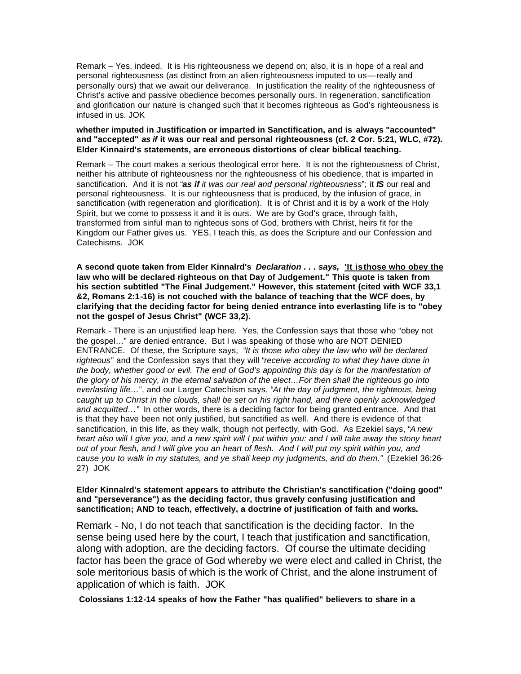Remark – Yes, indeed. It is His righteousness we depend on; also, it is in hope of a real and personal righteousness (as distinct from an alien righteousness imputed to us—really and personally ours) that we await our deliverance. In justification the reality of the righteousness of Christ's active and passive obedience becomes personally ours. In regeneration, sanctification and glorification our nature is changed such that it becomes righteous as God's righteousness is infused in us. JOK

### **whether imputed in Justification or imparted in Sanctification, and is always "accounted" and "accepted"** *as if* **it was our real and personal righteousness (cf. 2 Cor. 5:21, WLC, #72). Elder Kinnaird's statements, are erroneous distortions of clear biblical teaching.**

Remark – The court makes a serious theological error here. It is not the righteousness of Christ, neither his attribute of righteousness nor the righteousness of his obedience, that is imparted in sanctification. And it is not "*as if it was our real and personal righteousness*"; it *IS* our real and personal righteousness. It is our righteousness that is produced, by the infusion of grace, in sanctification (with regeneration and glorification). It is of Christ and it is by a work of the Holy Spirit, but we come to possess it and it is ours. We are by God's grace, through faith, transformed from sinful man to righteous sons of God, brothers with Christ, heirs fit for the Kingdom our Father gives us. YES, I teach this, as does the Scripture and our Confession and Catechisms. JOK

**A second quote taken from Elder Kinnalrd's** *Declaration . . . says,* **'It is those who obey the law who will be declared righteous on that Day of Judgement." This quote is taken from his section subtitled "The Final Judgement." However, this statement (cited with WCF 33,1 &2, Romans 2:1-16) is not couched with the balance of teaching that the WCF does, by clarifying that the deciding factor for being denied entrance into everlasting life is to "obey not the gospel of Jesus Christ" (WCF 33,2).** 

Remark - There is an unjustified leap here. Yes, the Confession says that those who "obey not the gospel…" are denied entrance. But I was speaking of those who are NOT DENIED ENTRANCE. Of these, the Scripture says, "*It is those who obey the law who will be declared righteous*" and the Confession says that they will "*receive according to what they have done in the body, whether good or evil. The end of God's appointing this day is for the manifestation of the glory of his mercy, in the eternal salvation of the elect…For then shall the righteous go into everlasting life…*", and our Larger Catechism says, "*At the day of judgment, the righteous, being caught up to Christ in the clouds, shall be set on his right hand, and there openly acknowledged and acquitted…"* In other words, there is a deciding factor for being granted entrance. And that is that they have been not only justified, but sanctified as well. And there is evidence of that sanctification, in this life, as they walk, though not perfectly, with God. As Ezekiel says, "*A new heart also will I give you, and a new spirit will I put within you: and I will take away the stony heart out of your flesh, and I will give you an heart of flesh. And I will put my spirit within you, and cause you to walk in my statutes, and ye shall keep my judgments, and do them."* (Ezekiel 36:26- 27) JOK

#### **Elder Kinnalrd's statement appears to attribute the Christian's sanctification ("doing good" and "perseverance") as the deciding factor, thus gravely confusing justification and sanctification; AND to teach, effectively, a doctrine of justification of faith and works.**

Remark - No, I do not teach that sanctification is the deciding factor. In the sense being used here by the court, I teach that justification and sanctification, along with adoption, are the deciding factors. Of course the ultimate deciding factor has been the grace of God whereby we were elect and called in Christ, the sole meritorious basis of which is the work of Christ, and the alone instrument of application of which is faith. JOK

**Colossians 1:12-14 speaks of how the Father "has qualified" believers to share in a**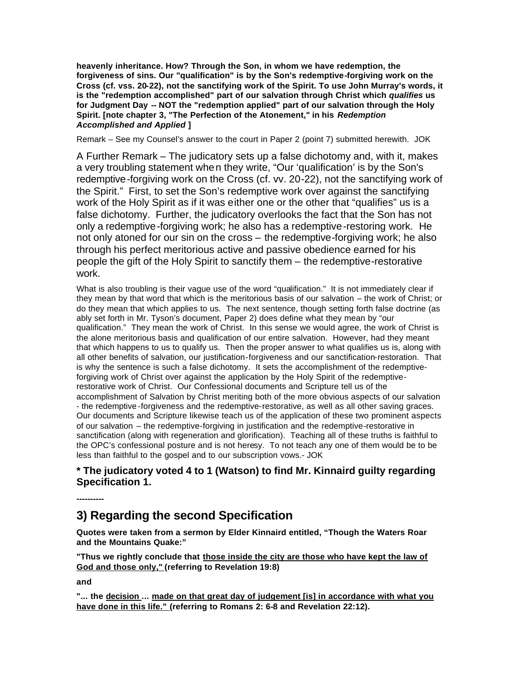**heavenly inheritance. How? Through the Son, in whom we have redemption, the forgiveness of sins. Our "qualification" is by the Son's redemptive-forgiving work on the Cross (cf. vss. 20-22), not the sanctifying work of the Spirit. To use John Murray's words, it is the "redemption accomplished" part of our salvation through Christ which** *qualifies* **us for Judgment Day -- NOT the "redemption applied" part of our salvation through the Holy Spirit. [note chapter 3, "The Perfection of the Atonement," in his** *Redemption Accomplished and Applied* **]**

Remark – See my Counsel's answer to the court in Paper 2 (point 7) submitted herewith. JOK

A Further Remark – The judicatory sets up a false dichotomy and, with it, makes a very troubling statement when they write, "Our 'qualification' is by the Son's redemptive-forgiving work on the Cross (cf. vv. 20-22), not the sanctifying work of the Spirit." First, to set the Son's redemptive work over against the sanctifying work of the Holy Spirit as if it was either one or the other that "qualifies" us is a false dichotomy. Further, the judicatory overlooks the fact that the Son has not only a redemptive-forgiving work; he also has a redemptive-restoring work. He not only atoned for our sin on the cross – the redemptive-forgiving work; he also through his perfect meritorious active and passive obedience earned for his people the gift of the Holy Spirit to sanctify them – the redemptive-restorative work.

What is also troubling is their vague use of the word "qualification." It is not immediately clear if they mean by that word that which is the meritorious basis of our salvation – the work of Christ; or do they mean that which applies to us. The next sentence, though setting forth false doctrine (as ably set forth in Mr. Tyson's document, Paper 2) does define what they mean by "our qualification." They mean the work of Christ. In this sense we would agree, the work of Christ is the alone meritorious basis and qualification of our entire salvation. However, had they meant that which happens to us to qualify us. Then the proper answer to what qualifies us is, along with all other benefits of salvation, our justification-forgiveness and our sanctification-restoration. That is why the sentence is such a false dichotomy. It sets the accomplishment of the redemptiveforgiving work of Christ over against the application by the Holy Spirit of the redemptiverestorative work of Christ. Our Confessional documents and Scripture tell us of the accomplishment of Salvation by Christ meriting both of the more obvious aspects of our salvation - the redemptive -forgiveness and the redemptive-restorative, as well as all other saving graces. Our documents and Scripture likewise teach us of the application of these two prominent aspects of our salvation – the redemptive-forgiving in justification and the redemptive-restorative in sanctification (along with regeneration and glorification). Teaching all of these truths is faithful to the OPC's confessional posture and is not heresy. To not teach any one of them would be to be less than faithful to the gospel and to our subscription vows.- JOK

## **\* The judicatory voted 4 to 1 (Watson) to find Mr. Kinnaird guilty regarding Specification 1.**

# **3) Regarding the second Specification**

**Quotes were taken from a sermon by Elder Kinnaird entitled, "Though the Waters Roar and the Mountains Quake:"**

**"Thus we rightly conclude that those inside the city are those who have kept the law of God and those only," (referring to Revelation 19:8)** 

**and** 

**----------**

**"... the decision ... made on that great day of judgement [is] in accordance with what you have done in this life." (referring to Romans 2: 6-8 and Revelation 22:12).**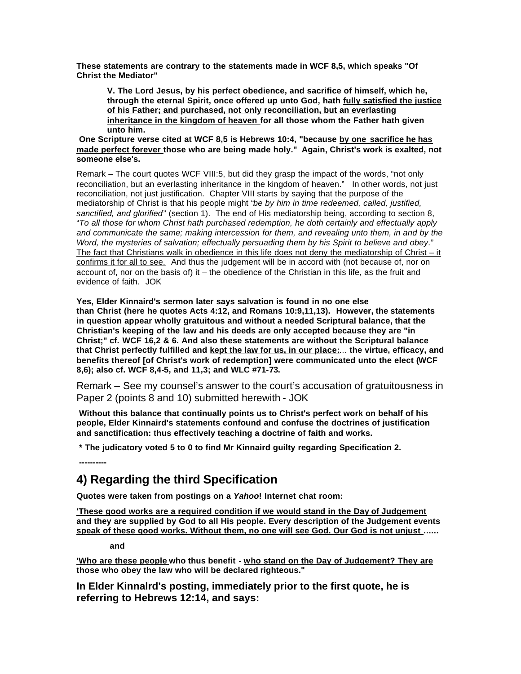**These statements are contrary to the statements made in WCF 8,5, which speaks "Of Christ the Mediator"** 

**V. The Lord Jesus, by his perfect obedience, and sacrifice of himself, which he, through the eternal Spirit, once offered up unto God, hath fully satisfied the justice of his Father; and purchased, not only reconciliation, but an everlasting inheritance in the kingdom of heaven for all those whom the Father hath given unto him.**

**One Scripture verse cited at WCF 8,5 is Hebrews 10:4, "because by one sacrifice he has made perfect forever those who are being made holy." Again, Christ's work is exalted, not someone else's.**

Remark – The court quotes WCF VIII:5, but did they grasp the impact of the words, "not only reconciliation, but an everlasting inheritance in the kingdom of heaven." In other words, not just reconciliation, not just justification. Chapter VIII starts by saying that the purpose of the mediatorship of Christ is that his people might "*be by him in time redeemed, called, justified, sanctified, and glorified*" (section 1). The end of His mediatorship being, according to section 8, "*To all those for whom Christ hath purchased redemption, he doth certainly and effectually apply and communicate the same; making intercession for them, and revealing unto them, in and by the Word, the mysteries of salvation; effectually persuading them by his Spirit to believe and obey*." The fact that Christians walk in obedience in this life does not deny the mediatorship of Christ – it confirms it for all to see. And thus the judgement will be in accord with (not because of, nor on account of, nor on the basis of) it – the obedience of the Christian in this life, as the fruit and evidence of faith. JOK

**Yes, Elder Kinnaird's sermon later says salvation is found in no one else than Christ (here he quotes Acts 4:12, and Romans 10:9,11,13). However, the statements in question appear wholly gratuitous and without a needed Scriptural balance, that the Christian's keeping of the law and his deeds are only accepted because they are "in Christ;" cf. WCF 16,2 & 6. And also these statements are without the Scriptural balance that Christ perfectly fulfilled and kept the law for us, in our place:**... **the virtue, efficacy, and benefits thereof [of Christ's work of redemption] were communicated unto the elect (WCF 8,6); also cf. WCF 8,4-5, and 11,3; and WLC #71-73.**

Remark – See my counsel's answer to the court's accusation of gratuitousness in Paper 2 (points 8 and 10) submitted herewith - JOK

**Without this balance that continually points us to Christ's perfect work on behalf of his people, Elder Kinnaird's statements confound and confuse the doctrines of justification and sanctification: thus effectively teaching a doctrine of faith and works.**

**\* The judicatory voted 5 to 0 to find Mr Kinnaird guilty regarding Specification 2.**

## **4) Regarding the third Specification**

**Quotes were taken from postings on a** *Yahoo***! Internet chat room:**

**'These good works are a required condition if we would stand in the Day of Judgement and they are supplied by God to all His people. Every description of the Judgement events speak of these good works. Without them, no one will see God. Our God is not unjust ......**

**and**

**----------**

**'Who are these people who thus benefit - who stand on the Day of Judgement? They are those who obey the law who will be declared righteous."**

**In Elder Kinnalrd's posting, immediately prior to the first quote, he is referring to Hebrews 12:14, and says:**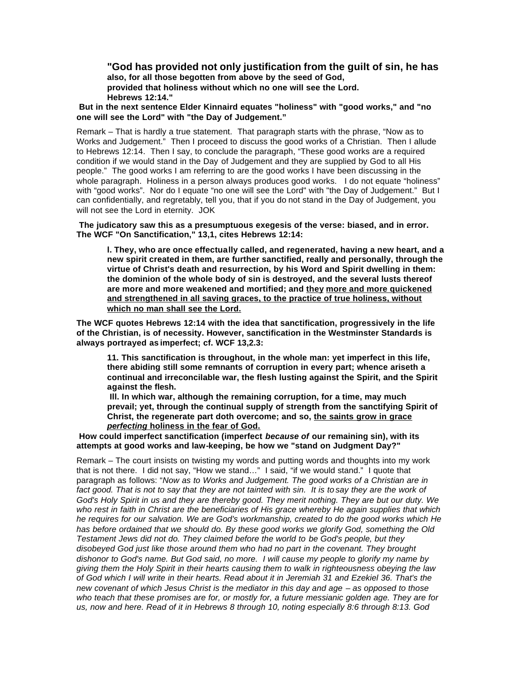**"God has provided not only justification from the guilt of sin, he has also, for all those begotten from above by the seed of God, provided that holiness without which no one will see the Lord. Hebrews 12:14."**

**But in the next sentence Elder Kinnaird equates "holiness" with "good works," and "no one will see the Lord" with "the Day of Judgement."**

Remark – That is hardly a true statement. That paragraph starts with the phrase, "Now as to Works and Judgement." Then I proceed to discuss the good works of a Christian. Then I allude to Hebrews 12:14. Then I say, to conclude the paragraph, "These good works are a required condition if we would stand in the Day of Judgement and they are supplied by God to all His people." The good works I am referring to are the good works I have been discussing in the whole paragraph. Holiness in a person always produces good works. I do not equate "holiness" with "good works". Nor do I equate "no one will see the Lord" with "the Day of Judgement." But I can confidentially, and regretably, tell you, that if you do not stand in the Day of Judgement, you will not see the Lord in eternity. JOK

 **The judicatory saw this as a presumptuous exegesis of the verse: biased, and in error. The WCF "On Sanctification," 13,1, cites Hebrews 12:14:** 

**l. They, who are once effectually called, and regenerated, having a new heart, and a new spirit created in them, are further sanctified, really and personally, through the virtue of Christ's death and resurrection, by his Word and Spirit dwelling in them: the dominion of the whole body of sin is destroyed, and the several lusts thereof are more and more weakened and mortified; and they more and more quickened and strengthened in all saving graces, to the practice of true holiness, without which no man shall see the Lord.**

**The WCF quotes Hebrews 12:14 with the idea that sanctification, progressively in the life of the Christian, is of necessity. However, sanctification in the Westminster Standards is always portrayed as imperfect; cf. WCF 13,2.3:**

**11. This sanctification is throughout, in the whole man: yet imperfect in this life, there abiding still some remnants of corruption in every part; whence ariseth a continual and irreconcilable war, the flesh lusting against the Spirit, and the Spirit against the flesh.**

**Ill. In which war, although the remaining corruption, for a time, may much prevail; yet, through the continual supply of strength from the sanctifying Spirit of Christ, the regenerate part doth overcome; and so, the saints grow in grace**  *perfecting* **holiness in the fear of God.**

**How could imperfect sanctification (imperfect** *because of* **our remaining sin), with its attempts at good works and law-keeping, be how we "stand on Judgment Day?"**

Remark – The court insists on twisting my words and putting words and thoughts into my work that is not there. I did not say, "How we stand…" I said, "if we would stand." I quote that paragraph as follows: "*Now as to Works and Judgement. The good works of a Christian are in fact good. That is not to say that they are not tainted with sin. It is to say they are the work of God's Holy Spirit in us and they are thereby good. They merit nothing. They are but our duty. We who rest in faith in Christ are the beneficiaries of His grace whereby He again supplies that which he requires for our salvation. We are God's workmanship, created to do the good works which He has before ordained that we should do. By these good works we glorify God, something the Old Testament Jews did not do. They claimed before the world to be God's people, but they disobeyed God just like those around them who had no part in the covenant. They brought dishonor to God's name. But God said, no more. I will cause my people to glorify my name by giving them the Holy Spirit in their hearts causing them to walk in righteousness obeying the law of God which I will write in their hearts. Read about it in Jeremiah 31 and Ezekiel 36. That's the new covenant of which Jesus Christ is the mediator in this day and age – as opposed to those who teach that these promises are for, or mostly for, a future messianic golden age. They are for us, now and here. Read of it in Hebrews 8 through 10, noting especially 8:6 through 8:13. God*